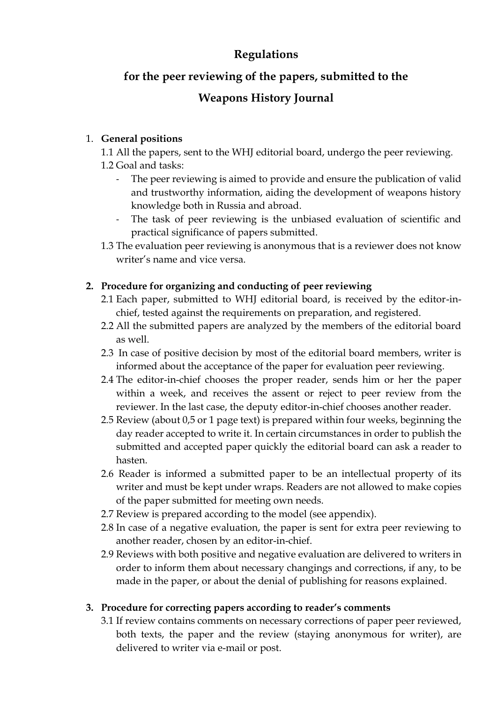## **Regulations**

# **for the peer reviewing of the papers, submitted to the**

## **Weapons History Journal**

## 1. **General positions**

1.1 All the papers, sent to the WHJ editorial board, undergo the peer reviewing. 1.2 Goal and tasks:

- The peer reviewing is aimed to provide and ensure the publication of valid and trustworthy information, aiding the development of weapons history knowledge both in Russia and abroad.
- The task of peer reviewing is the unbiased evaluation of scientific and practical significance of papers submitted.
- 1.3 The evaluation peer reviewing is anonymous that is a reviewer does not know writer's name and vice versa.

## **2. Procedure for organizing and conducting of peer reviewing**

- 2.1 Each paper, submitted to WHJ editorial board, is received by the editor-inchief, tested against the requirements on preparation, and registered.
- 2.2 All the submitted papers are analyzed by the members of the editorial board as well.
- 2.3 In case of positive decision by most of the editorial board members, writer is informed about the acceptance of the paper for evaluation peer reviewing.
- 2.4 The editor-in-chief chooses the proper reader, sends him or her the paper within a week, and receives the assent or reject to peer review from the reviewer. In the last case, the deputy editor-in-chief chooses another reader.
- 2.5 Review (about 0,5 or 1 page text) is prepared within four weeks, beginning the day reader accepted to write it. In certain circumstances in order to publish the submitted and accepted paper quickly the editorial board can ask a reader to hasten.
- 2.6 Reader is informed a submitted paper to be an intellectual property of its writer and must be kept under wraps. Readers are not allowed to make copies of the paper submitted for meeting own needs.
- 2.7 Review is prepared according to the model (see appendix).
- 2.8 In case of a negative evaluation, the paper is sent for extra peer reviewing to another reader, chosen by an editor-in-chief.
- 2.9 Reviews with both positive and negative evaluation are delivered to writers in order to inform them about necessary changings and corrections, if any, to be made in the paper, or about the denial of publishing for reasons explained.

#### **3. Procedure for correcting papers according to reader's comments**

3.1 If review contains comments on necessary corrections of paper peer reviewed, both texts, the paper and the review (staying anonymous for writer), are delivered to writer via e-mail or post.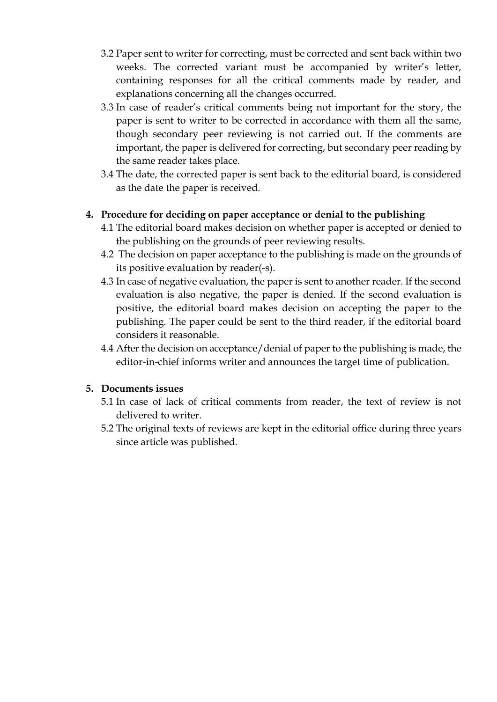- 3.2 Paper sent to writer for correcting, must be corrected and sent back within two weeks. The corrected variant must be accompanied by writer's letter, containing responses for all the critical comments made by reader, and explanations concerning all the changes occurred.
- 3.3 In case of reader's critical comments being not important for the story, the paper is sent to writer to be corrected in accordance with them all the same, though secondary peer reviewing is not carried out. If the comments are important, the paper is delivered for correcting, but secondary peer reading by the same reader takes place.
- 3.4 The date, the corrected paper is sent back to the editorial board, is considered as the date the paper is received.

#### **4. Procedure for deciding on paper acceptance or denial to the publishing**

- 4.1 The editorial board makes decision on whether paper is accepted or denied to the publishing on the grounds of peer reviewing results.
- 4.2 The decision on paper acceptance to the publishing is made on the grounds of its positive evaluation by reader(-s).
- 4.3 In case of negative evaluation, the paper is sent to another reader. If the second evaluation is also negative, the paper is denied. If the second evaluation is positive, the editorial board makes decision on accepting the paper to the publishing. The paper could be sent to the third reader, if the editorial board considers it reasonable.
- 4.4 After the decision on acceptance/denial of paper to the publishing is made, the editor-in-chief informs writer and announces the target time of publication.

#### **5. Documents issues**

- 5.1 In case of lack of critical comments from reader, the text of review is not delivered to writer.
- 5.2 The original texts of reviews are kept in the editorial office during three years since article was published.